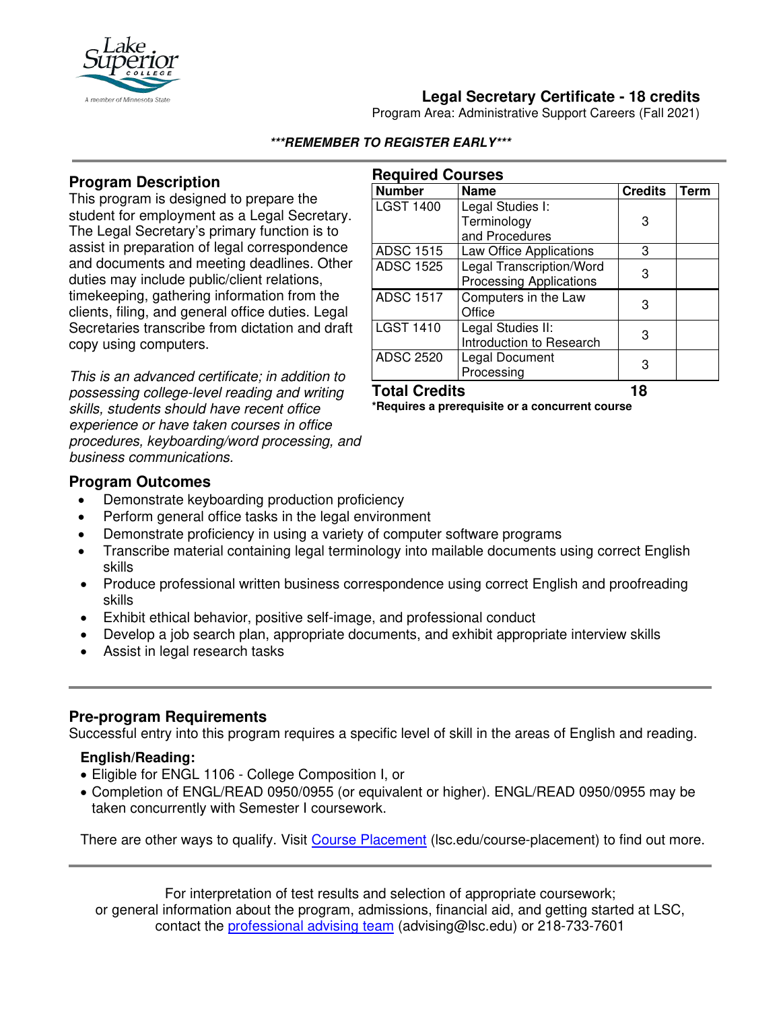

## **Legal Secretary Certificate - 18 credits**

Program Area: Administrative Support Careers (Fall 2021)

#### **\*\*\*REMEMBER TO REGISTER EARLY\*\*\***

**Required Courses**

### **Program Description**

This program is designed to prepare the student for employment as a Legal Secretary. The Legal Secretary's primary function is to assist in preparation of legal correspondence and documents and meeting deadlines. Other duties may include public/client relations, timekeeping, gathering information from the clients, filing, and general office duties. Legal Secretaries transcribe from dictation and draft copy using computers.

*This is an advanced certificate; in addition to possessing college-level reading and writing skills, students should have recent office experience or have taken courses in office procedures, keyboarding/word processing, and business communications.*

| <b>Number</b>    | <b>Name</b>                    | <b>Credits</b> | <b>Term</b> |
|------------------|--------------------------------|----------------|-------------|
| <b>LGST 1400</b> | Legal Studies I:               |                |             |
|                  | Terminology                    | 3              |             |
|                  | and Procedures                 |                |             |
| <b>ADSC 1515</b> | Law Office Applications        | 3              |             |
| <b>ADSC 1525</b> | Legal Transcription/Word       | З              |             |
|                  | <b>Processing Applications</b> |                |             |
| <b>ADSC 1517</b> | Computers in the Law           | 3              |             |
|                  | Office                         |                |             |
| <b>LGST 1410</b> | Legal Studies II:              | 3              |             |
|                  | Introduction to Research       |                |             |
| <b>ADSC 2520</b> | Legal Document                 |                |             |
|                  | Processing                     |                |             |

## **Total Credits 18**

**\*Requires a prerequisite or a concurrent course**

### **Program Outcomes**

- Demonstrate keyboarding production proficiency
- Perform general office tasks in the legal environment
- Demonstrate proficiency in using a variety of computer software programs
- Transcribe material containing legal terminology into mailable documents using correct English skills
- Produce professional written business correspondence using correct English and proofreading skills
- Exhibit ethical behavior, positive self-image, and professional conduct
- Develop a job search plan, appropriate documents, and exhibit appropriate interview skills
- Assist in legal research tasks

### **Pre-program Requirements**

Successful entry into this program requires a specific level of skill in the areas of English and reading.

### **English/Reading:**

- Eligible for ENGL 1106 College Composition I, or
- Completion of ENGL/READ 0950/0955 (or equivalent or higher). ENGL/READ 0950/0955 may be taken concurrently with Semester I coursework.

There are other ways to qualify. Visit [Course Placement](https://www.lsc.edu/course-placement/) (lsc.edu/course-placement) to find out more.

For interpretation of test results and selection of appropriate coursework; or general information about the program, admissions, financial aid, and getting started at LSC, contact the [professional advising team](mailto:advising@lsc.edu) (advising@lsc.edu) or 218-733-7601